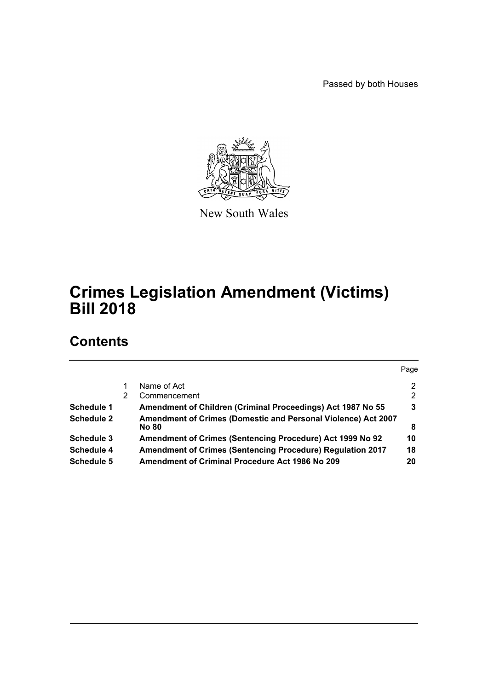Passed by both Houses



New South Wales

# **Crimes Legislation Amendment (Victims) Bill 2018**

# **Contents**

|                   |   |                                                                               | Page |
|-------------------|---|-------------------------------------------------------------------------------|------|
|                   |   | Name of Act                                                                   | 2    |
|                   | 2 | Commencement                                                                  | 2    |
| <b>Schedule 1</b> |   | Amendment of Children (Criminal Proceedings) Act 1987 No 55                   | 3    |
| <b>Schedule 2</b> |   | Amendment of Crimes (Domestic and Personal Violence) Act 2007<br><b>No 80</b> | 8    |
| Schedule 3        |   | Amendment of Crimes (Sentencing Procedure) Act 1999 No 92                     | 10   |
| Schedule 4        |   | <b>Amendment of Crimes (Sentencing Procedure) Regulation 2017</b>             | 18   |
| Schedule 5        |   | <b>Amendment of Criminal Procedure Act 1986 No 209</b>                        | 20   |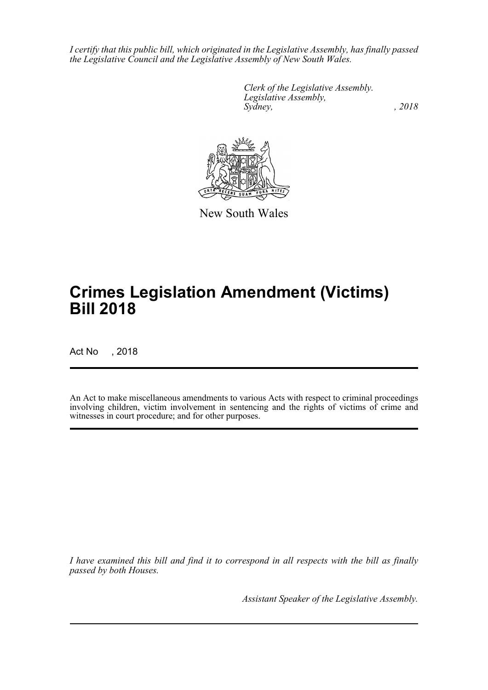*I certify that this public bill, which originated in the Legislative Assembly, has finally passed the Legislative Council and the Legislative Assembly of New South Wales.*

> *Clerk of the Legislative Assembly. Legislative Assembly, Sydney, , 2018*



New South Wales

# **Crimes Legislation Amendment (Victims) Bill 2018**

Act No , 2018

An Act to make miscellaneous amendments to various Acts with respect to criminal proceedings involving children, victim involvement in sentencing and the rights of victims of crime and witnesses in court procedure; and for other purposes.

*I have examined this bill and find it to correspond in all respects with the bill as finally passed by both Houses.*

*Assistant Speaker of the Legislative Assembly.*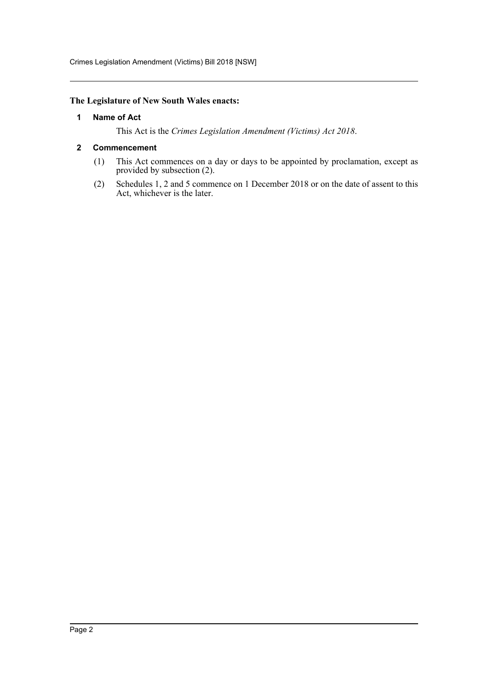Crimes Legislation Amendment (Victims) Bill 2018 [NSW]

# <span id="page-2-0"></span>**The Legislature of New South Wales enacts:**

# **1 Name of Act**

This Act is the *Crimes Legislation Amendment (Victims) Act 2018*.

# <span id="page-2-1"></span>**2 Commencement**

- (1) This Act commences on a day or days to be appointed by proclamation, except as provided by subsection (2).
- (2) Schedules 1, 2 and 5 commence on 1 December 2018 or on the date of assent to this Act, whichever is the later.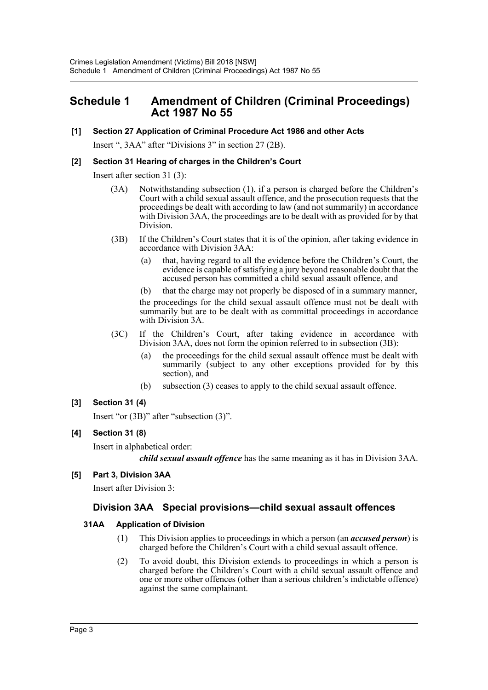# <span id="page-3-0"></span>**Schedule 1 Amendment of Children (Criminal Proceedings) Act 1987 No 55**

# **[1] Section 27 Application of Criminal Procedure Act 1986 and other Acts**

Insert ", 3AA" after "Divisions 3" in section 27 (2B).

# **[2] Section 31 Hearing of charges in the Children's Court**

Insert after section 31 (3):

- (3A) Notwithstanding subsection (1), if a person is charged before the Children's Court with a child sexual assault offence, and the prosecution requests that the proceedings be dealt with according to law (and not summarily) in accordance with Division 3AA, the proceedings are to be dealt with as provided for by that Division.
- (3B) If the Children's Court states that it is of the opinion, after taking evidence in accordance with Division 3AA:
	- (a) that, having regard to all the evidence before the Children's Court, the evidence is capable of satisfying a jury beyond reasonable doubt that the accused person has committed a child sexual assault offence, and
	- (b) that the charge may not properly be disposed of in a summary manner,

the proceedings for the child sexual assault offence must not be dealt with summarily but are to be dealt with as committal proceedings in accordance with Division 3A.

- (3C) If the Children's Court, after taking evidence in accordance with Division 3AA, does not form the opinion referred to in subsection (3B):
	- (a) the proceedings for the child sexual assault offence must be dealt with summarily (subject to any other exceptions provided for by this section), and
	- (b) subsection (3) ceases to apply to the child sexual assault offence.

# **[3] Section 31 (4)**

Insert "or (3B)" after "subsection (3)".

# **[4] Section 31 (8)**

Insert in alphabetical order:

*child sexual assault offence* has the same meaning as it has in Division 3AA.

# **[5] Part 3, Division 3AA**

Insert after Division 3:

# **Division 3AA Special provisions—child sexual assault offences**

# **31AA Application of Division**

- (1) This Division applies to proceedings in which a person (an *accused person*) is charged before the Children's Court with a child sexual assault offence.
- (2) To avoid doubt, this Division extends to proceedings in which a person is charged before the Children's Court with a child sexual assault offence and one or more other offences (other than a serious children's indictable offence) against the same complainant.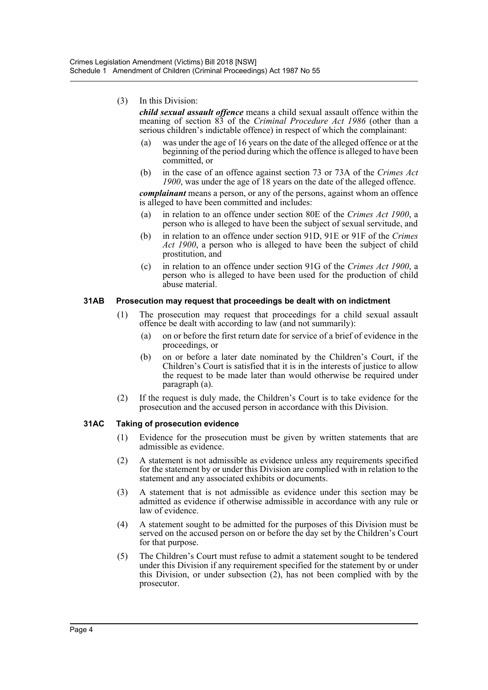# (3) In this Division:

*child sexual assault offence* means a child sexual assault offence within the meaning of section 83 of the *Criminal Procedure Act 1986* (other than a serious children's indictable offence) in respect of which the complainant:

- (a) was under the age of 16 years on the date of the alleged offence or at the beginning of the period during which the offence is alleged to have been committed, or
- (b) in the case of an offence against section 73 or 73A of the *Crimes Act 1900*, was under the age of 18 years on the date of the alleged offence.

*complainant* means a person, or any of the persons, against whom an offence is alleged to have been committed and includes:

- (a) in relation to an offence under section 80E of the *Crimes Act 1900*, a person who is alleged to have been the subject of sexual servitude, and
- (b) in relation to an offence under section 91D, 91E or 91F of the *Crimes Act 1900*, a person who is alleged to have been the subject of child prostitution, and
- (c) in relation to an offence under section 91G of the *Crimes Act 1900*, a person who is alleged to have been used for the production of child abuse material.

# **31AB Prosecution may request that proceedings be dealt with on indictment**

- (1) The prosecution may request that proceedings for a child sexual assault offence be dealt with according to law (and not summarily):
	- (a) on or before the first return date for service of a brief of evidence in the proceedings, or
	- (b) on or before a later date nominated by the Children's Court, if the Children's Court is satisfied that it is in the interests of justice to allow the request to be made later than would otherwise be required under paragraph (a).
- (2) If the request is duly made, the Children's Court is to take evidence for the prosecution and the accused person in accordance with this Division.

# **31AC Taking of prosecution evidence**

- (1) Evidence for the prosecution must be given by written statements that are admissible as evidence.
- (2) A statement is not admissible as evidence unless any requirements specified for the statement by or under this Division are complied with in relation to the statement and any associated exhibits or documents.
- (3) A statement that is not admissible as evidence under this section may be admitted as evidence if otherwise admissible in accordance with any rule or law of evidence.
- (4) A statement sought to be admitted for the purposes of this Division must be served on the accused person on or before the day set by the Children's Court for that purpose.
- (5) The Children's Court must refuse to admit a statement sought to be tendered under this Division if any requirement specified for the statement by or under this Division, or under subsection (2), has not been complied with by the prosecutor.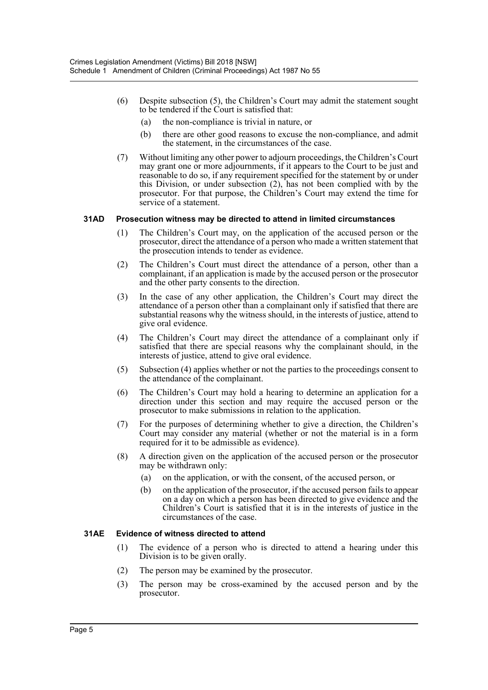- (6) Despite subsection (5), the Children's Court may admit the statement sought to be tendered if the Court is satisfied that:
	- (a) the non-compliance is trivial in nature, or
	- (b) there are other good reasons to excuse the non-compliance, and admit the statement, in the circumstances of the case.
- (7) Without limiting any other power to adjourn proceedings, the Children's Court may grant one or more adjournments, if it appears to the Court to be just and reasonable to do so, if any requirement specified for the statement by or under this Division, or under subsection (2), has not been complied with by the prosecutor. For that purpose, the Children's Court may extend the time for service of a statement.

# **31AD Prosecution witness may be directed to attend in limited circumstances**

- (1) The Children's Court may, on the application of the accused person or the prosecutor, direct the attendance of a person who made a written statement that the prosecution intends to tender as evidence.
- (2) The Children's Court must direct the attendance of a person, other than a complainant, if an application is made by the accused person or the prosecutor and the other party consents to the direction.
- (3) In the case of any other application, the Children's Court may direct the attendance of a person other than a complainant only if satisfied that there are substantial reasons why the witness should, in the interests of justice, attend to give oral evidence.
- (4) The Children's Court may direct the attendance of a complainant only if satisfied that there are special reasons why the complainant should, in the interests of justice, attend to give oral evidence.
- (5) Subsection (4) applies whether or not the parties to the proceedings consent to the attendance of the complainant.
- (6) The Children's Court may hold a hearing to determine an application for a direction under this section and may require the accused person or the prosecutor to make submissions in relation to the application.
- (7) For the purposes of determining whether to give a direction, the Children's Court may consider any material (whether or not the material is in a form required for it to be admissible as evidence).
- (8) A direction given on the application of the accused person or the prosecutor may be withdrawn only:
	- (a) on the application, or with the consent, of the accused person, or
	- (b) on the application of the prosecutor, if the accused person fails to appear on a day on which a person has been directed to give evidence and the Children's Court is satisfied that it is in the interests of justice in the circumstances of the case.

#### **31AE Evidence of witness directed to attend**

- (1) The evidence of a person who is directed to attend a hearing under this Division is to be given orally.
- (2) The person may be examined by the prosecutor.
- (3) The person may be cross-examined by the accused person and by the prosecutor.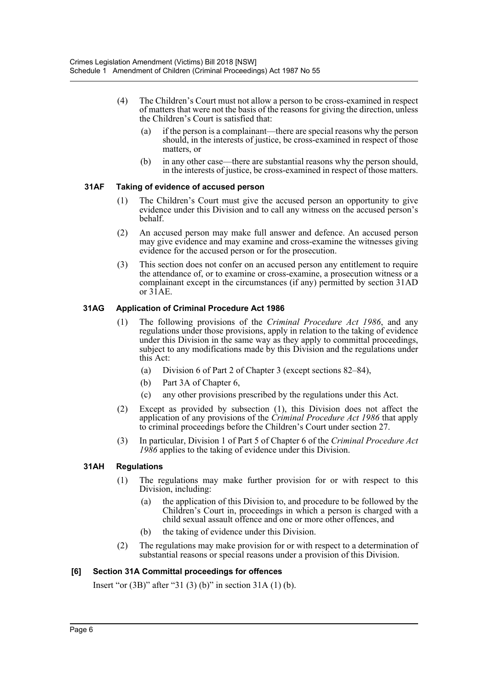- (4) The Children's Court must not allow a person to be cross-examined in respect of matters that were not the basis of the reasons for giving the direction, unless the Children's Court is satisfied that:
	- (a) if the person is a complainant—there are special reasons why the person should, in the interests of justice, be cross-examined in respect of those matters, or
	- (b) in any other case—there are substantial reasons why the person should, in the interests of justice, be cross-examined in respect of those matters.

# **31AF Taking of evidence of accused person**

- (1) The Children's Court must give the accused person an opportunity to give evidence under this Division and to call any witness on the accused person's behalf.
- (2) An accused person may make full answer and defence. An accused person may give evidence and may examine and cross-examine the witnesses giving evidence for the accused person or for the prosecution.
- (3) This section does not confer on an accused person any entitlement to require the attendance of, or to examine or cross-examine, a prosecution witness or a complainant except in the circumstances (if any) permitted by section 31AD or  $3\overline{1}AE$ .

# **31AG Application of Criminal Procedure Act 1986**

- (1) The following provisions of the *Criminal Procedure Act 1986*, and any regulations under those provisions, apply in relation to the taking of evidence under this Division in the same way as they apply to committal proceedings, subject to any modifications made by this Division and the regulations under this Act:
	- (a) Division 6 of Part 2 of Chapter 3 (except sections 82–84),
	- (b) Part 3A of Chapter 6,
	- (c) any other provisions prescribed by the regulations under this Act.
- (2) Except as provided by subsection (1), this Division does not affect the application of any provisions of the *Criminal Procedure Act 1986* that apply to criminal proceedings before the Children's Court under section 27.
- (3) In particular, Division 1 of Part 5 of Chapter 6 of the *Criminal Procedure Act 1986* applies to the taking of evidence under this Division.

# **31AH Regulations**

- (1) The regulations may make further provision for or with respect to this Division, including:
	- (a) the application of this Division to, and procedure to be followed by the Children's Court in, proceedings in which a person is charged with a child sexual assault offence and one or more other offences, and
	- (b) the taking of evidence under this Division.
- (2) The regulations may make provision for or with respect to a determination of substantial reasons or special reasons under a provision of this Division.

# **[6] Section 31A Committal proceedings for offences**

Insert "or (3B)" after "31 (3) (b)" in section 31A (1) (b).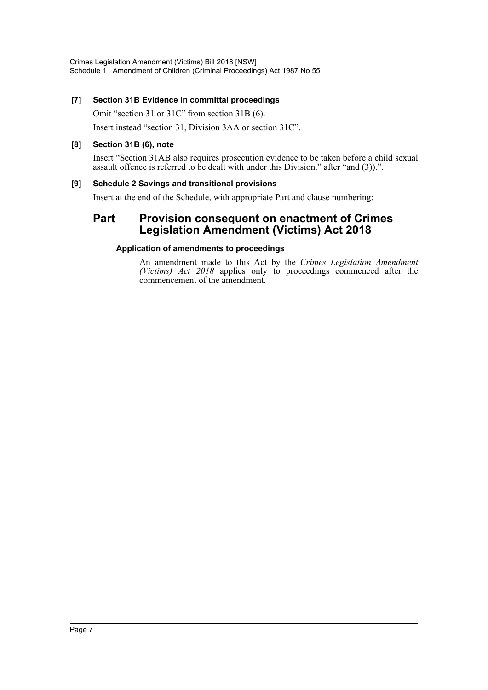# **[7] Section 31B Evidence in committal proceedings**

Omit "section 31 or 31C" from section 31B (6).

Insert instead "section 31, Division 3AA or section 31C".

# **[8] Section 31B (6), note**

Insert "Section 31AB also requires prosecution evidence to be taken before a child sexual assault offence is referred to be dealt with under this Division." after "and (3)).".

# **[9] Schedule 2 Savings and transitional provisions**

Insert at the end of the Schedule, with appropriate Part and clause numbering:

# **Part Provision consequent on enactment of Crimes Legislation Amendment (Victims) Act 2018**

# **Application of amendments to proceedings**

An amendment made to this Act by the *Crimes Legislation Amendment (Victims) Act 2018* applies only to proceedings commenced after the commencement of the amendment.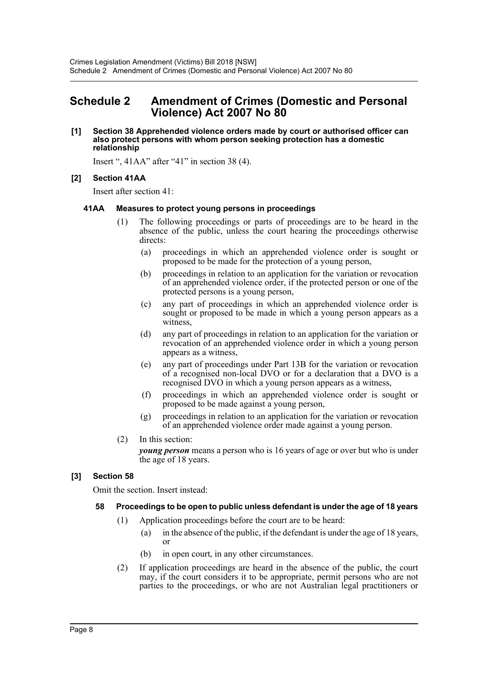# <span id="page-8-0"></span>**Schedule 2 Amendment of Crimes (Domestic and Personal Violence) Act 2007 No 80**

#### **[1] Section 38 Apprehended violence orders made by court or authorised officer can also protect persons with whom person seeking protection has a domestic relationship**

Insert ", 41AA" after "41" in section 38 (4).

# **[2] Section 41AA**

Insert after section 41:

# **41AA Measures to protect young persons in proceedings**

- (1) The following proceedings or parts of proceedings are to be heard in the absence of the public, unless the court hearing the proceedings otherwise directs:
	- (a) proceedings in which an apprehended violence order is sought or proposed to be made for the protection of a young person,
	- (b) proceedings in relation to an application for the variation or revocation of an apprehended violence order, if the protected person or one of the protected persons is a young person,
	- (c) any part of proceedings in which an apprehended violence order is sought or proposed to be made in which a young person appears as a witness,
	- (d) any part of proceedings in relation to an application for the variation or revocation of an apprehended violence order in which a young person appears as a witness,
	- (e) any part of proceedings under Part 13B for the variation or revocation of a recognised non-local DVO or for a declaration that a DVO is a recognised DVO in which a young person appears as a witness,
	- (f) proceedings in which an apprehended violence order is sought or proposed to be made against a young person,
	- (g) proceedings in relation to an application for the variation or revocation of an apprehended violence order made against a young person.
- (2) In this section:

*young person* means a person who is 16 years of age or over but who is under the age of 18 years.

# **[3] Section 58**

Omit the section. Insert instead:

# **58 Proceedings to be open to public unless defendant is under the age of 18 years**

- (1) Application proceedings before the court are to be heard:
	- (a) in the absence of the public, if the defendant is under the age of 18 years, or
	- (b) in open court, in any other circumstances.
- (2) If application proceedings are heard in the absence of the public, the court may, if the court considers it to be appropriate, permit persons who are not parties to the proceedings, or who are not Australian legal practitioners or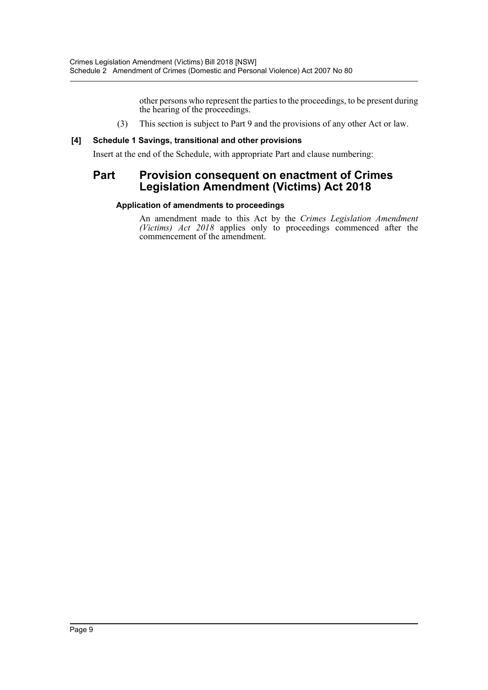other persons who represent the parties to the proceedings, to be present during the hearing of the proceedings.

(3) This section is subject to Part 9 and the provisions of any other Act or law.

# **[4] Schedule 1 Savings, transitional and other provisions**

Insert at the end of the Schedule, with appropriate Part and clause numbering:

# **Part Provision consequent on enactment of Crimes Legislation Amendment (Victims) Act 2018**

# **Application of amendments to proceedings**

An amendment made to this Act by the *Crimes Legislation Amendment (Victims) Act 2018* applies only to proceedings commenced after the commencement of the amendment.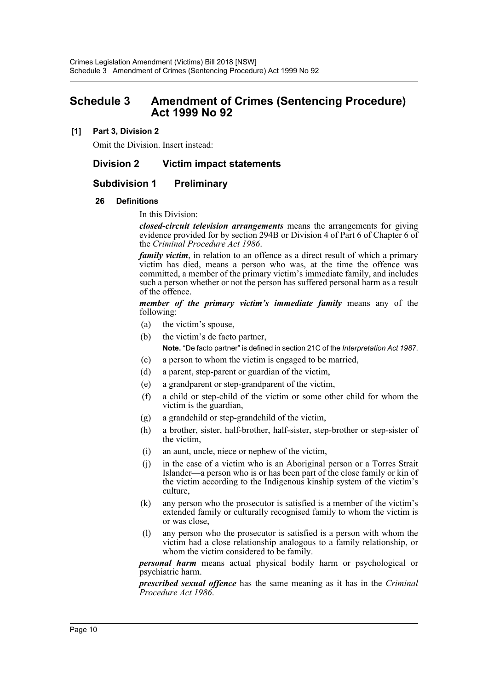# <span id="page-10-0"></span>**Schedule 3 Amendment of Crimes (Sentencing Procedure) Act 1999 No 92**

# **[1] Part 3, Division 2**

Omit the Division. Insert instead:

# **Division 2 Victim impact statements**

# **Subdivision 1 Preliminary**

# **26 Definitions**

# In this Division:

*closed-circuit television arrangements* means the arrangements for giving evidence provided for by section 294B or Division 4 of Part 6 of Chapter 6 of the *Criminal Procedure Act 1986*.

*family victim*, in relation to an offence as a direct result of which a primary victim has died, means a person who was, at the time the offence was committed, a member of the primary victim's immediate family, and includes such a person whether or not the person has suffered personal harm as a result of the offence.

*member of the primary victim's immediate family* means any of the following:

- (a) the victim's spouse,
- (b) the victim's de facto partner,

**Note.** "De facto partner" is defined in section 21C of the *Interpretation Act 1987*.

- (c) a person to whom the victim is engaged to be married,
- (d) a parent, step-parent or guardian of the victim,
- (e) a grandparent or step-grandparent of the victim,
- (f) a child or step-child of the victim or some other child for whom the victim is the guardian,
- (g) a grandchild or step-grandchild of the victim,
- (h) a brother, sister, half-brother, half-sister, step-brother or step-sister of the victim,
- (i) an aunt, uncle, niece or nephew of the victim,
- (j) in the case of a victim who is an Aboriginal person or a Torres Strait Islander—a person who is or has been part of the close family or kin of the victim according to the Indigenous kinship system of the victim's culture,
- (k) any person who the prosecutor is satisfied is a member of the victim's extended family or culturally recognised family to whom the victim is or was close,
- (l) any person who the prosecutor is satisfied is a person with whom the victim had a close relationship analogous to a family relationship, or whom the victim considered to be family.

*personal harm* means actual physical bodily harm or psychological or psychiatric harm.

*prescribed sexual offence* has the same meaning as it has in the *Criminal Procedure Act 1986*.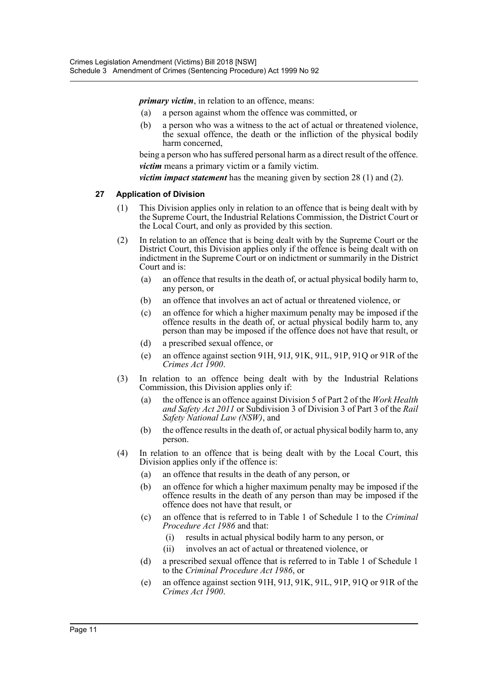*primary victim*, in relation to an offence, means:

- (a) a person against whom the offence was committed, or
- (b) a person who was a witness to the act of actual or threatened violence, the sexual offence, the death or the infliction of the physical bodily harm concerned,

being a person who has suffered personal harm as a direct result of the offence. *victim* means a primary victim or a family victim.

*victim impact statement* has the meaning given by section 28 (1) and (2).

#### **27 Application of Division**

- (1) This Division applies only in relation to an offence that is being dealt with by the Supreme Court, the Industrial Relations Commission, the District Court or the Local Court, and only as provided by this section.
- (2) In relation to an offence that is being dealt with by the Supreme Court or the District Court, this Division applies only if the offence is being dealt with on indictment in the Supreme Court or on indictment or summarily in the District Court and is:
	- (a) an offence that results in the death of, or actual physical bodily harm to, any person, or
	- (b) an offence that involves an act of actual or threatened violence, or
	- (c) an offence for which a higher maximum penalty may be imposed if the offence results in the death of, or actual physical bodily harm to, any person than may be imposed if the offence does not have that result, or
	- (d) a prescribed sexual offence, or
	- (e) an offence against section 91H, 91J, 91K, 91L, 91P, 91Q or 91R of the *Crimes Act 1900*.
- (3) In relation to an offence being dealt with by the Industrial Relations Commission, this Division applies only if:
	- (a) the offence is an offence against Division 5 of Part 2 of the *Work Health and Safety Act 2011* or Subdivision 3 of Division 3 of Part 3 of the *Rail Safety National Law (NSW)*, and
	- (b) the offence results in the death of, or actual physical bodily harm to, any person.
- (4) In relation to an offence that is being dealt with by the Local Court, this Division applies only if the offence is:
	- (a) an offence that results in the death of any person, or
	- (b) an offence for which a higher maximum penalty may be imposed if the offence results in the death of any person than may be imposed if the offence does not have that result, or
	- (c) an offence that is referred to in Table 1 of Schedule 1 to the *Criminal Procedure Act 1986* and that:
		- (i) results in actual physical bodily harm to any person, or
		- (ii) involves an act of actual or threatened violence, or
	- (d) a prescribed sexual offence that is referred to in Table 1 of Schedule 1 to the *Criminal Procedure Act 1986*, or
	- (e) an offence against section 91H, 91J, 91K, 91L, 91P, 91Q or 91R of the *Crimes Act 1900*.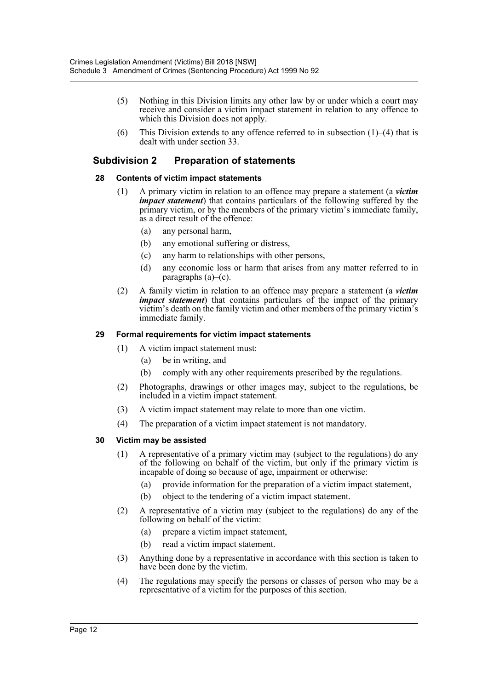- (5) Nothing in this Division limits any other law by or under which a court may receive and consider a victim impact statement in relation to any offence to which this Division does not apply.
- (6) This Division extends to any offence referred to in subsection  $(1)$ – $(4)$  that is dealt with under section 33.

# **Subdivision 2 Preparation of statements**

# **28 Contents of victim impact statements**

- (1) A primary victim in relation to an offence may prepare a statement (a *victim impact statement*) that contains particulars of the following suffered by the primary victim, or by the members of the primary victim's immediate family, as a direct result of the offence:
	- (a) any personal harm,
	- (b) any emotional suffering or distress,
	- (c) any harm to relationships with other persons,
	- (d) any economic loss or harm that arises from any matter referred to in paragraphs  $(a)$ – $(c)$ .
- (2) A family victim in relation to an offence may prepare a statement (a *victim impact statement*) that contains particulars of the impact of the primary victim's death on the family victim and other members of the primary victim's immediate family.

# **29 Formal requirements for victim impact statements**

- (1) A victim impact statement must:
	- (a) be in writing, and
	- (b) comply with any other requirements prescribed by the regulations.
- (2) Photographs, drawings or other images may, subject to the regulations, be included in a victim impact statement.
- (3) A victim impact statement may relate to more than one victim.
- (4) The preparation of a victim impact statement is not mandatory.

# **30 Victim may be assisted**

- (1) A representative of a primary victim may (subject to the regulations) do any of the following on behalf of the victim, but only if the primary victim is incapable of doing so because of age, impairment or otherwise:
	- (a) provide information for the preparation of a victim impact statement,
	- (b) object to the tendering of a victim impact statement.
- (2) A representative of a victim may (subject to the regulations) do any of the following on behalf of the victim:
	- (a) prepare a victim impact statement,
	- (b) read a victim impact statement.
- (3) Anything done by a representative in accordance with this section is taken to have been done by the victim.
- (4) The regulations may specify the persons or classes of person who may be a representative of a victim for the purposes of this section.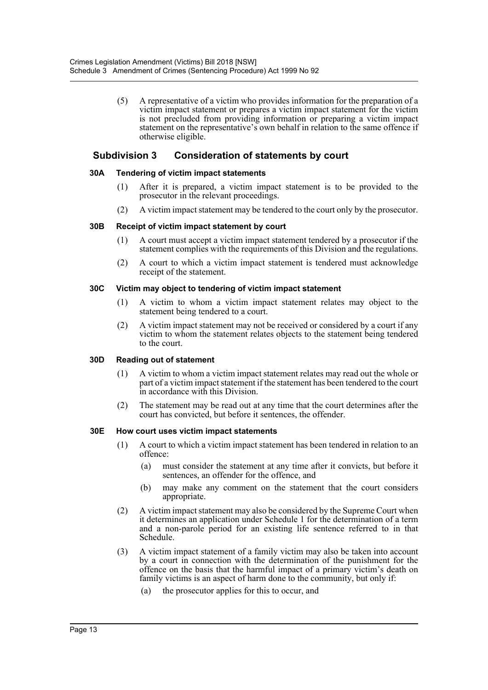(5) A representative of a victim who provides information for the preparation of a victim impact statement or prepares a victim impact statement for the victim is not precluded from providing information or preparing a victim impact statement on the representative's own behalf in relation to the same offence if otherwise eligible.

# **Subdivision 3 Consideration of statements by court**

# **30A Tendering of victim impact statements**

- (1) After it is prepared, a victim impact statement is to be provided to the prosecutor in the relevant proceedings.
- (2) A victim impact statement may be tendered to the court only by the prosecutor.

# **30B Receipt of victim impact statement by court**

- (1) A court must accept a victim impact statement tendered by a prosecutor if the statement complies with the requirements of this Division and the regulations.
- (2) A court to which a victim impact statement is tendered must acknowledge receipt of the statement.

# **30C Victim may object to tendering of victim impact statement**

- (1) A victim to whom a victim impact statement relates may object to the statement being tendered to a court.
- (2) A victim impact statement may not be received or considered by a court if any victim to whom the statement relates objects to the statement being tendered to the court.

# **30D Reading out of statement**

- (1) A victim to whom a victim impact statement relates may read out the whole or part of a victim impact statement if the statement has been tendered to the court in accordance with this Division.
- (2) The statement may be read out at any time that the court determines after the court has convicted, but before it sentences, the offender.

# **30E How court uses victim impact statements**

- (1) A court to which a victim impact statement has been tendered in relation to an offence:
	- (a) must consider the statement at any time after it convicts, but before it sentences, an offender for the offence, and
	- (b) may make any comment on the statement that the court considers appropriate.
- (2) A victim impact statement may also be considered by the Supreme Court when it determines an application under Schedule 1 for the determination of a term and a non-parole period for an existing life sentence referred to in that Schedule.
- (3) A victim impact statement of a family victim may also be taken into account by a court in connection with the determination of the punishment for the offence on the basis that the harmful impact of a primary victim's death on family victims is an aspect of harm done to the community, but only if:
	- (a) the prosecutor applies for this to occur, and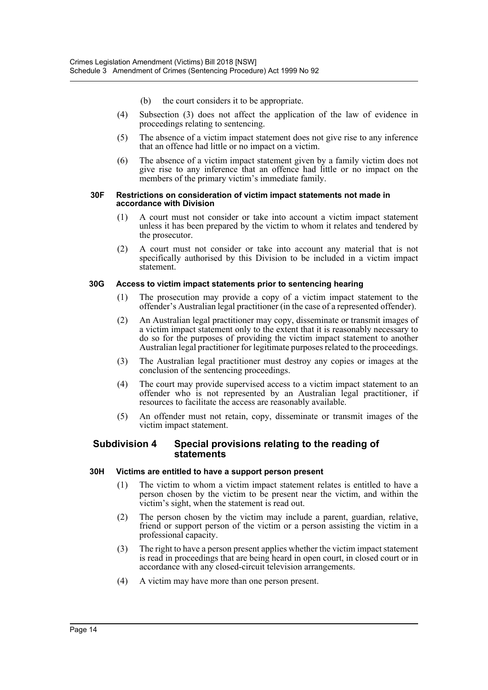- (b) the court considers it to be appropriate.
- (4) Subsection (3) does not affect the application of the law of evidence in proceedings relating to sentencing.
- (5) The absence of a victim impact statement does not give rise to any inference that an offence had little or no impact on a victim.
- (6) The absence of a victim impact statement given by a family victim does not give rise to any inference that an offence had little or no impact on the members of the primary victim's immediate family.

#### **30F Restrictions on consideration of victim impact statements not made in accordance with Division**

- (1) A court must not consider or take into account a victim impact statement unless it has been prepared by the victim to whom it relates and tendered by the prosecutor.
- (2) A court must not consider or take into account any material that is not specifically authorised by this Division to be included in a victim impact statement.

#### **30G Access to victim impact statements prior to sentencing hearing**

- (1) The prosecution may provide a copy of a victim impact statement to the offender's Australian legal practitioner (in the case of a represented offender).
- (2) An Australian legal practitioner may copy, disseminate or transmit images of a victim impact statement only to the extent that it is reasonably necessary to do so for the purposes of providing the victim impact statement to another Australian legal practitioner for legitimate purposes related to the proceedings.
- (3) The Australian legal practitioner must destroy any copies or images at the conclusion of the sentencing proceedings.
- (4) The court may provide supervised access to a victim impact statement to an offender who is not represented by an Australian legal practitioner, if resources to facilitate the access are reasonably available.
- (5) An offender must not retain, copy, disseminate or transmit images of the victim impact statement.

# **Subdivision 4 Special provisions relating to the reading of statements**

# **30H Victims are entitled to have a support person present**

- (1) The victim to whom a victim impact statement relates is entitled to have a person chosen by the victim to be present near the victim, and within the victim's sight, when the statement is read out.
- (2) The person chosen by the victim may include a parent, guardian, relative, friend or support person of the victim or a person assisting the victim in a professional capacity.
- (3) The right to have a person present applies whether the victim impact statement is read in proceedings that are being heard in open court, in closed court or in accordance with any closed-circuit television arrangements.
- (4) A victim may have more than one person present.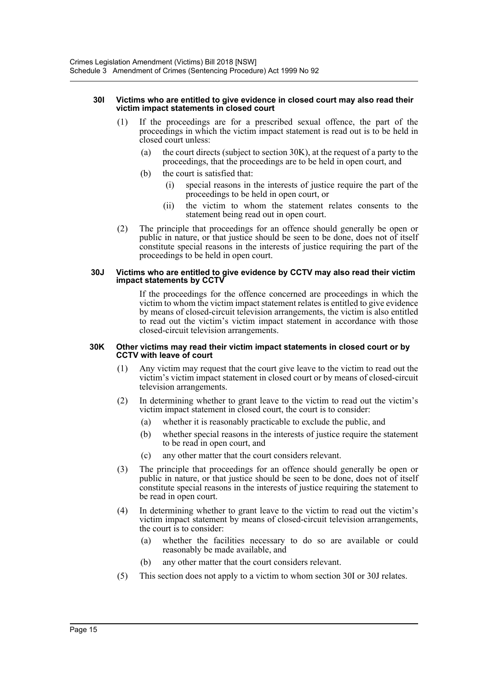#### **30I Victims who are entitled to give evidence in closed court may also read their victim impact statements in closed court**

- (1) If the proceedings are for a prescribed sexual offence, the part of the proceedings in which the victim impact statement is read out is to be held in closed court unless:
	- (a) the court directs (subject to section 30K), at the request of a party to the proceedings, that the proceedings are to be held in open court, and
	- (b) the court is satisfied that:
		- (i) special reasons in the interests of justice require the part of the proceedings to be held in open court, or
		- (ii) the victim to whom the statement relates consents to the statement being read out in open court.
- (2) The principle that proceedings for an offence should generally be open or public in nature, or that justice should be seen to be done, does not of itself constitute special reasons in the interests of justice requiring the part of the proceedings to be held in open court.

#### **30J Victims who are entitled to give evidence by CCTV may also read their victim impact statements by CCTV**

If the proceedings for the offence concerned are proceedings in which the victim to whom the victim impact statement relates is entitled to give evidence by means of closed-circuit television arrangements, the victim is also entitled to read out the victim's victim impact statement in accordance with those closed-circuit television arrangements.

#### **30K Other victims may read their victim impact statements in closed court or by CCTV with leave of court**

- (1) Any victim may request that the court give leave to the victim to read out the victim's victim impact statement in closed court or by means of closed-circuit television arrangements.
- (2) In determining whether to grant leave to the victim to read out the victim's victim impact statement in closed court, the court is to consider:
	- (a) whether it is reasonably practicable to exclude the public, and
	- (b) whether special reasons in the interests of justice require the statement to be read in open court, and
	- (c) any other matter that the court considers relevant.
- (3) The principle that proceedings for an offence should generally be open or public in nature, or that justice should be seen to be done, does not of itself constitute special reasons in the interests of justice requiring the statement to be read in open court.
- (4) In determining whether to grant leave to the victim to read out the victim's victim impact statement by means of closed-circuit television arrangements, the court is to consider:
	- (a) whether the facilities necessary to do so are available or could reasonably be made available, and
	- (b) any other matter that the court considers relevant.
- (5) This section does not apply to a victim to whom section 30I or 30J relates.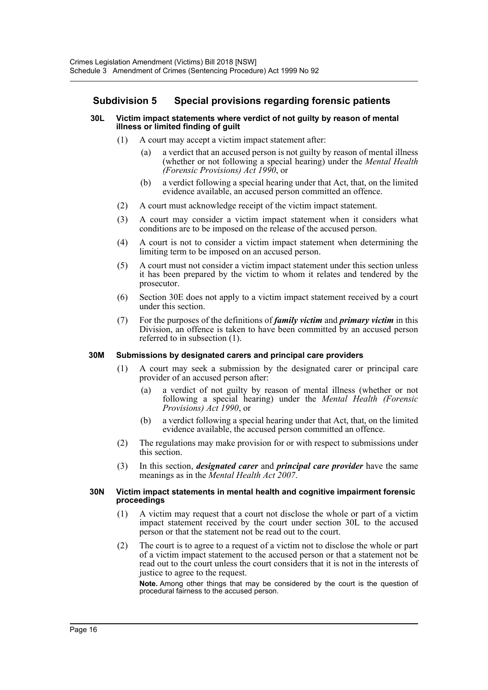# **Subdivision 5 Special provisions regarding forensic patients**

#### **30L Victim impact statements where verdict of not guilty by reason of mental illness or limited finding of guilt**

- (1) A court may accept a victim impact statement after:
	- (a) a verdict that an accused person is not guilty by reason of mental illness (whether or not following a special hearing) under the *Mental Health (Forensic Provisions) Act 1990*, or
	- (b) a verdict following a special hearing under that Act, that, on the limited evidence available, an accused person committed an offence.
- (2) A court must acknowledge receipt of the victim impact statement.
- (3) A court may consider a victim impact statement when it considers what conditions are to be imposed on the release of the accused person.
- (4) A court is not to consider a victim impact statement when determining the limiting term to be imposed on an accused person.
- (5) A court must not consider a victim impact statement under this section unless it has been prepared by the victim to whom it relates and tendered by the prosecutor.
- (6) Section 30E does not apply to a victim impact statement received by a court under this section.
- (7) For the purposes of the definitions of *family victim* and *primary victim* in this Division, an offence is taken to have been committed by an accused person referred to in subsection (1).

# **30M Submissions by designated carers and principal care providers**

- (1) A court may seek a submission by the designated carer or principal care provider of an accused person after:
	- (a) a verdict of not guilty by reason of mental illness (whether or not following a special hearing) under the *Mental Health (Forensic Provisions) Act 1990*, or
	- (b) a verdict following a special hearing under that Act, that, on the limited evidence available, the accused person committed an offence.
- (2) The regulations may make provision for or with respect to submissions under this section.
- (3) In this section, *designated carer* and *principal care provider* have the same meanings as in the *Mental Health Act 2007*.

#### **30N Victim impact statements in mental health and cognitive impairment forensic proceedings**

- (1) A victim may request that a court not disclose the whole or part of a victim impact statement received by the court under section 30L to the accused person or that the statement not be read out to the court.
- (2) The court is to agree to a request of a victim not to disclose the whole or part of a victim impact statement to the accused person or that a statement not be read out to the court unless the court considers that it is not in the interests of justice to agree to the request.

**Note.** Among other things that may be considered by the court is the question of procedural fairness to the accused person.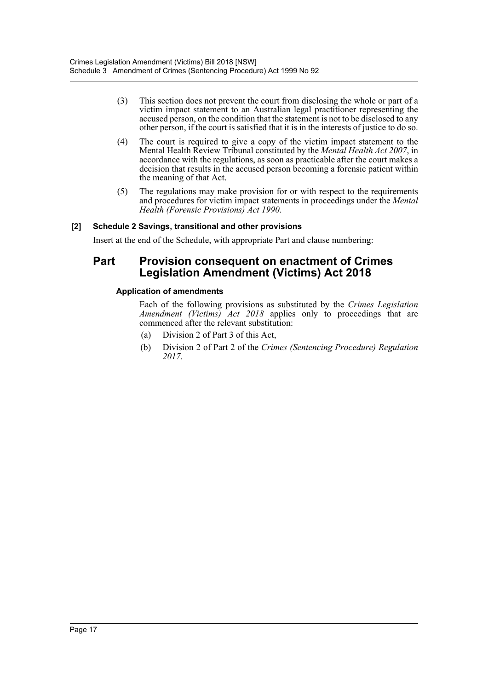- (3) This section does not prevent the court from disclosing the whole or part of a victim impact statement to an Australian legal practitioner representing the accused person, on the condition that the statement is not to be disclosed to any other person, if the court is satisfied that it is in the interests of justice to do so.
- (4) The court is required to give a copy of the victim impact statement to the Mental Health Review Tribunal constituted by the *Mental Health Act 2007*, in accordance with the regulations, as soon as practicable after the court makes a decision that results in the accused person becoming a forensic patient within the meaning of that Act.
- (5) The regulations may make provision for or with respect to the requirements and procedures for victim impact statements in proceedings under the *Mental Health (Forensic Provisions) Act 1990*.

# **[2] Schedule 2 Savings, transitional and other provisions**

Insert at the end of the Schedule, with appropriate Part and clause numbering:

# **Part Provision consequent on enactment of Crimes Legislation Amendment (Victims) Act 2018**

# **Application of amendments**

Each of the following provisions as substituted by the *Crimes Legislation Amendment (Victims) Act 2018* applies only to proceedings that are commenced after the relevant substitution:

- (a) Division 2 of Part 3 of this Act,
- (b) Division 2 of Part 2 of the *Crimes (Sentencing Procedure) Regulation 2017*.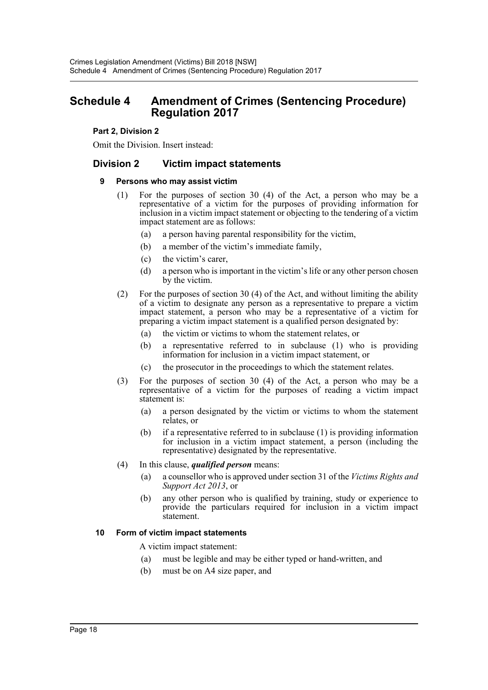# <span id="page-18-0"></span>**Schedule 4 Amendment of Crimes (Sentencing Procedure) Regulation 2017**

# **Part 2, Division 2**

Omit the Division. Insert instead:

# **Division 2 Victim impact statements**

# **9 Persons who may assist victim**

- (1) For the purposes of section 30 (4) of the Act, a person who may be a representative of a victim for the purposes of providing information for inclusion in a victim impact statement or objecting to the tendering of a victim impact statement are as follows:
	- (a) a person having parental responsibility for the victim,
	- (b) a member of the victim's immediate family,
	- (c) the victim's carer,
	- (d) a person who is important in the victim's life or any other person chosen by the victim.
- (2) For the purposes of section 30 (4) of the Act, and without limiting the ability of a victim to designate any person as a representative to prepare a victim impact statement, a person who may be a representative of a victim for preparing a victim impact statement is a qualified person designated by:
	- (a) the victim or victims to whom the statement relates, or
	- (b) a representative referred to in subclause (1) who is providing information for inclusion in a victim impact statement, or
	- (c) the prosecutor in the proceedings to which the statement relates.
- (3) For the purposes of section 30 (4) of the Act, a person who may be a representative of a victim for the purposes of reading a victim impact statement is:
	- (a) a person designated by the victim or victims to whom the statement relates, or
	- (b) if a representative referred to in subclause (1) is providing information for inclusion in a victim impact statement, a person (including the representative) designated by the representative.
- (4) In this clause, *qualified person* means:
	- (a) a counsellor who is approved under section 31 of the *Victims Rights and Support Act 2013*, or
	- (b) any other person who is qualified by training, study or experience to provide the particulars required for inclusion in a victim impact statement.

# **10 Form of victim impact statements**

A victim impact statement:

- (a) must be legible and may be either typed or hand-written, and
- (b) must be on A4 size paper, and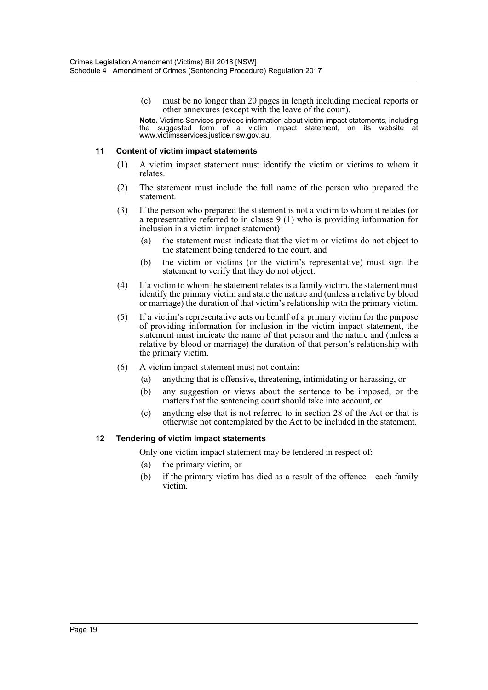(c) must be no longer than 20 pages in length including medical reports or other annexures (except with the leave of the court).

**Note.** Victims Services provides information about victim impact statements, including the suggested form of a victim impact statement, on its website at www.victimsservices.justice.nsw.gov.au.

# **11 Content of victim impact statements**

- (1) A victim impact statement must identify the victim or victims to whom it relates.
- (2) The statement must include the full name of the person who prepared the statement.
- (3) If the person who prepared the statement is not a victim to whom it relates (or a representative referred to in clause 9 (1) who is providing information for inclusion in a victim impact statement):
	- (a) the statement must indicate that the victim or victims do not object to the statement being tendered to the court, and
	- (b) the victim or victims (or the victim's representative) must sign the statement to verify that they do not object.
- (4) If a victim to whom the statement relates is a family victim, the statement must identify the primary victim and state the nature and (unless a relative by blood or marriage) the duration of that victim's relationship with the primary victim.
- (5) If a victim's representative acts on behalf of a primary victim for the purpose of providing information for inclusion in the victim impact statement, the statement must indicate the name of that person and the nature and (unless a relative by blood or marriage) the duration of that person's relationship with the primary victim.
- (6) A victim impact statement must not contain:
	- (a) anything that is offensive, threatening, intimidating or harassing, or
	- (b) any suggestion or views about the sentence to be imposed, or the matters that the sentencing court should take into account, or
	- (c) anything else that is not referred to in section 28 of the Act or that is otherwise not contemplated by the Act to be included in the statement.

# **12 Tendering of victim impact statements**

Only one victim impact statement may be tendered in respect of:

- (a) the primary victim, or
- (b) if the primary victim has died as a result of the offence—each family victim.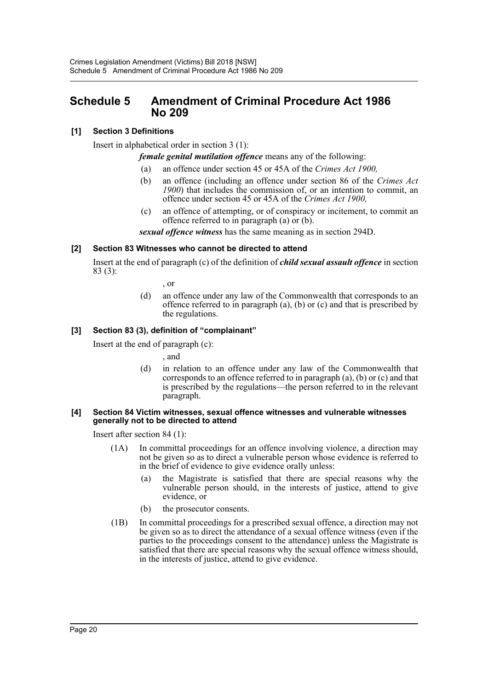# <span id="page-20-0"></span>**Schedule 5 Amendment of Criminal Procedure Act 1986 No 209**

# **[1] Section 3 Definitions**

Insert in alphabetical order in section 3 (1):

*female genital mutilation offence* means any of the following:

- (a) an offence under section 45 or 45A of the *Crimes Act 1900,*
- (b) an offence (including an offence under section 86 of the *Crimes Act 1900*) that includes the commission of, or an intention to commit, an offence under section 45 or 45A of the *Crimes Act 1900,*
- (c) an offence of attempting, or of conspiracy or incitement, to commit an offence referred to in paragraph (a) or (b).

*sexual offence witness* has the same meaning as in section 294D.

# **[2] Section 83 Witnesses who cannot be directed to attend**

Insert at the end of paragraph (c) of the definition of *child sexual assault offence* in section 83 (3):

, or

(d) an offence under any law of the Commonwealth that corresponds to an offence referred to in paragraph (a), (b) or (c) and that is prescribed by the regulations.

# **[3] Section 83 (3), definition of "complainant"**

Insert at the end of paragraph (c):

, and

(d) in relation to an offence under any law of the Commonwealth that corresponds to an offence referred to in paragraph (a), (b) or (c) and that is prescribed by the regulations—the person referred to in the relevant paragraph.

#### **[4] Section 84 Victim witnesses, sexual offence witnesses and vulnerable witnesses generally not to be directed to attend**

Insert after section 84 (1):

- (1A) In committal proceedings for an offence involving violence, a direction may not be given so as to direct a vulnerable person whose evidence is referred to in the brief of evidence to give evidence orally unless:
	- (a) the Magistrate is satisfied that there are special reasons why the vulnerable person should, in the interests of justice, attend to give evidence, or
	- (b) the prosecutor consents.
- (1B) In committal proceedings for a prescribed sexual offence, a direction may not be given so as to direct the attendance of a sexual offence witness (even if the parties to the proceedings consent to the attendance) unless the Magistrate is satisfied that there are special reasons why the sexual offence witness should, in the interests of justice, attend to give evidence.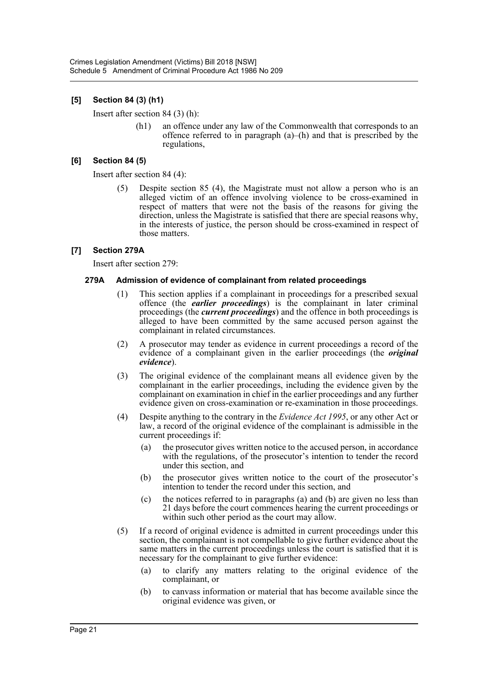# **[5] Section 84 (3) (h1)**

Insert after section 84 (3) (h):

(h1) an offence under any law of the Commonwealth that corresponds to an offence referred to in paragraph  $(a)$ – $(h)$  and that is prescribed by the regulations,

# **[6] Section 84 (5)**

Insert after section 84 (4):

(5) Despite section 85 (4), the Magistrate must not allow a person who is an alleged victim of an offence involving violence to be cross-examined in respect of matters that were not the basis of the reasons for giving the direction, unless the Magistrate is satisfied that there are special reasons why, in the interests of justice, the person should be cross-examined in respect of those matters.

# **[7] Section 279A**

Insert after section 279:

# **279A Admission of evidence of complainant from related proceedings**

- (1) This section applies if a complainant in proceedings for a prescribed sexual offence (the *earlier proceedings*) is the complainant in later criminal proceedings (the *current proceedings*) and the offence in both proceedings is alleged to have been committed by the same accused person against the complainant in related circumstances.
- (2) A prosecutor may tender as evidence in current proceedings a record of the evidence of a complainant given in the earlier proceedings (the *original evidence*).
- (3) The original evidence of the complainant means all evidence given by the complainant in the earlier proceedings, including the evidence given by the complainant on examination in chief in the earlier proceedings and any further evidence given on cross-examination or re-examination in those proceedings.
- (4) Despite anything to the contrary in the *Evidence Act 1995*, or any other Act or law, a record of the original evidence of the complainant is admissible in the current proceedings if:
	- (a) the prosecutor gives written notice to the accused person, in accordance with the regulations, of the prosecutor's intention to tender the record under this section, and
	- (b) the prosecutor gives written notice to the court of the prosecutor's intention to tender the record under this section, and
	- (c) the notices referred to in paragraphs (a) and (b) are given no less than 21 days before the court commences hearing the current proceedings or within such other period as the court may allow.
- (5) If a record of original evidence is admitted in current proceedings under this section, the complainant is not compellable to give further evidence about the same matters in the current proceedings unless the court is satisfied that it is necessary for the complainant to give further evidence:
	- (a) to clarify any matters relating to the original evidence of the complainant, or
	- (b) to canvass information or material that has become available since the original evidence was given, or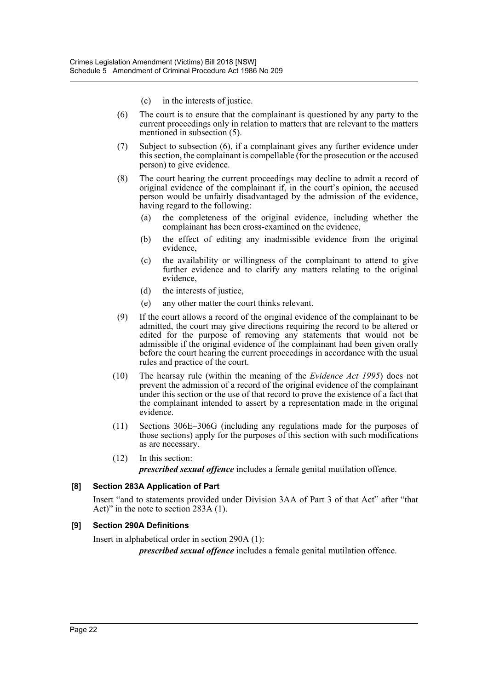- (c) in the interests of justice.
- (6) The court is to ensure that the complainant is questioned by any party to the current proceedings only in relation to matters that are relevant to the matters mentioned in subsection (5).
- (7) Subject to subsection (6), if a complainant gives any further evidence under this section, the complainant is compellable (for the prosecution or the accused person) to give evidence.
- (8) The court hearing the current proceedings may decline to admit a record of original evidence of the complainant if, in the court's opinion, the accused person would be unfairly disadvantaged by the admission of the evidence, having regard to the following:
	- (a) the completeness of the original evidence, including whether the complainant has been cross-examined on the evidence,
	- (b) the effect of editing any inadmissible evidence from the original evidence,
	- (c) the availability or willingness of the complainant to attend to give further evidence and to clarify any matters relating to the original evidence,
	- (d) the interests of justice,
	- (e) any other matter the court thinks relevant.
- (9) If the court allows a record of the original evidence of the complainant to be admitted, the court may give directions requiring the record to be altered or edited for the purpose of removing any statements that would not be admissible if the original evidence of the complainant had been given orally before the court hearing the current proceedings in accordance with the usual rules and practice of the court.
- (10) The hearsay rule (within the meaning of the *Evidence Act 1995*) does not prevent the admission of a record of the original evidence of the complainant under this section or the use of that record to prove the existence of a fact that the complainant intended to assert by a representation made in the original evidence.
- (11) Sections 306E–306G (including any regulations made for the purposes of those sections) apply for the purposes of this section with such modifications as are necessary.
- (12) In this section:

*prescribed sexual offence* includes a female genital mutilation offence.

# **[8] Section 283A Application of Part**

Insert "and to statements provided under Division 3AA of Part 3 of that Act" after "that Act)" in the note to section 283A (1).

# **[9] Section 290A Definitions**

Insert in alphabetical order in section 290A (1):

*prescribed sexual offence* includes a female genital mutilation offence.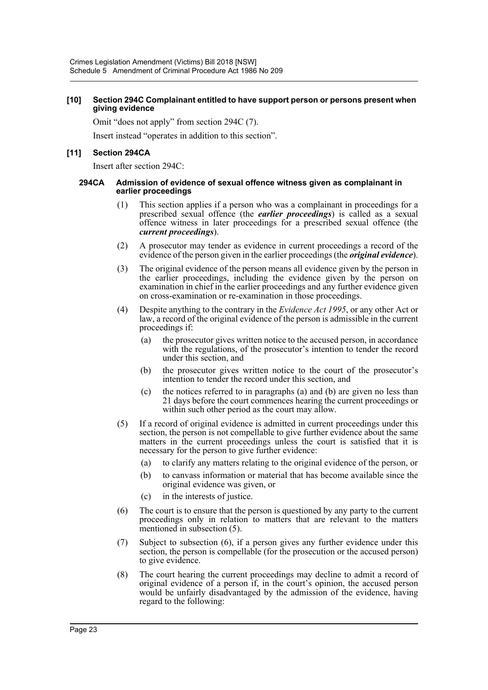#### **[10] Section 294C Complainant entitled to have support person or persons present when giving evidence**

Omit "does not apply" from section 294C (7).

Insert instead "operates in addition to this section".

# **[11] Section 294CA**

Insert after section 294C:

#### **294CA Admission of evidence of sexual offence witness given as complainant in earlier proceedings**

- (1) This section applies if a person who was a complainant in proceedings for a prescribed sexual offence (the *earlier proceedings*) is called as a sexual offence witness in later proceedings for a prescribed sexual offence (the *current proceedings*).
- (2) A prosecutor may tender as evidence in current proceedings a record of the evidence of the person given in the earlier proceedings (the *original evidence*).
- (3) The original evidence of the person means all evidence given by the person in the earlier proceedings, including the evidence given by the person on examination in chief in the earlier proceedings and any further evidence given on cross-examination or re-examination in those proceedings.
- (4) Despite anything to the contrary in the *Evidence Act 1995*, or any other Act or law, a record of the original evidence of the person is admissible in the current proceedings if:
	- (a) the prosecutor gives written notice to the accused person, in accordance with the regulations, of the prosecutor's intention to tender the record under this section, and
	- (b) the prosecutor gives written notice to the court of the prosecutor's intention to tender the record under this section, and
	- (c) the notices referred to in paragraphs (a) and (b) are given no less than 21 days before the court commences hearing the current proceedings or within such other period as the court may allow.
- (5) If a record of original evidence is admitted in current proceedings under this section, the person is not compellable to give further evidence about the same matters in the current proceedings unless the court is satisfied that it is necessary for the person to give further evidence:
	- (a) to clarify any matters relating to the original evidence of the person, or
	- (b) to canvass information or material that has become available since the original evidence was given, or
	- (c) in the interests of justice.
- (6) The court is to ensure that the person is questioned by any party to the current proceedings only in relation to matters that are relevant to the matters mentioned in subsection (5).
- (7) Subject to subsection (6), if a person gives any further evidence under this section, the person is compellable (for the prosecution or the accused person) to give evidence.
- (8) The court hearing the current proceedings may decline to admit a record of original evidence of a person if, in the court's opinion, the accused person would be unfairly disadvantaged by the admission of the evidence, having regard to the following: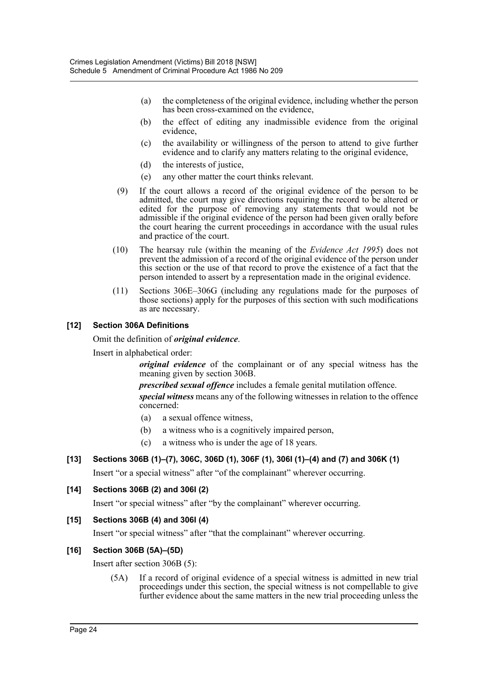- (a) the completeness of the original evidence, including whether the person has been cross-examined on the evidence,
- (b) the effect of editing any inadmissible evidence from the original evidence,
- (c) the availability or willingness of the person to attend to give further evidence and to clarify any matters relating to the original evidence,
- (d) the interests of justice,
- (e) any other matter the court thinks relevant.
- (9) If the court allows a record of the original evidence of the person to be admitted, the court may give directions requiring the record to be altered or edited for the purpose of removing any statements that would not be admissible if the original evidence of the person had been given orally before the court hearing the current proceedings in accordance with the usual rules and practice of the court.
- (10) The hearsay rule (within the meaning of the *Evidence Act 1995*) does not prevent the admission of a record of the original evidence of the person under this section or the use of that record to prove the existence of a fact that the person intended to assert by a representation made in the original evidence.
- (11) Sections 306E–306G (including any regulations made for the purposes of those sections) apply for the purposes of this section with such modifications as are necessary.

# **[12] Section 306A Definitions**

Omit the definition of *original evidence*.

Insert in alphabetical order:

*original evidence* of the complainant or of any special witness has the meaning given by section 306B.

*prescribed sexual offence* includes a female genital mutilation offence.

*special witness* means any of the following witnesses in relation to the offence concerned:

- (a) a sexual offence witness,
- (b) a witness who is a cognitively impaired person,
- (c) a witness who is under the age of 18 years.

# **[13] Sections 306B (1)–(7), 306C, 306D (1), 306F (1), 306I (1)–(4) and (7) and 306K (1)**

Insert "or a special witness" after "of the complainant" wherever occurring.

# **[14] Sections 306B (2) and 306I (2)**

Insert "or special witness" after "by the complainant" wherever occurring.

# **[15] Sections 306B (4) and 306I (4)**

Insert "or special witness" after "that the complainant" wherever occurring.

# **[16] Section 306B (5A)–(5D)**

Insert after section 306B (5):

(5A) If a record of original evidence of a special witness is admitted in new trial proceedings under this section, the special witness is not compellable to give further evidence about the same matters in the new trial proceeding unless the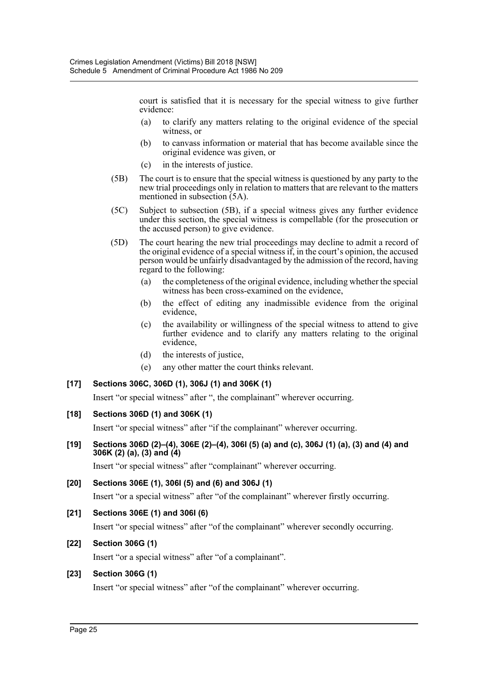court is satisfied that it is necessary for the special witness to give further evidence:

- (a) to clarify any matters relating to the original evidence of the special witness, or
- (b) to canvass information or material that has become available since the original evidence was given, or
- (c) in the interests of justice.
- (5B) The court is to ensure that the special witness is questioned by any party to the new trial proceedings only in relation to matters that are relevant to the matters mentioned in subsection (5A).
- (5C) Subject to subsection (5B), if a special witness gives any further evidence under this section, the special witness is compellable (for the prosecution or the accused person) to give evidence.
- (5D) The court hearing the new trial proceedings may decline to admit a record of the original evidence of a special witness if, in the court's opinion, the accused person would be unfairly disadvantaged by the admission of the record, having regard to the following:
	- (a) the completeness of the original evidence, including whether the special witness has been cross-examined on the evidence,
	- (b) the effect of editing any inadmissible evidence from the original evidence,
	- (c) the availability or willingness of the special witness to attend to give further evidence and to clarify any matters relating to the original evidence,
	- (d) the interests of justice,
	- (e) any other matter the court thinks relevant.

# **[17] Sections 306C, 306D (1), 306J (1) and 306K (1)**

Insert "or special witness" after ", the complainant" wherever occurring.

# **[18] Sections 306D (1) and 306K (1)**

Insert "or special witness" after "if the complainant" wherever occurring.

**[19] Sections 306D (2)–(4), 306E (2)–(4), 306I (5) (a) and (c), 306J (1) (a), (3) and (4) and 306K (2) (a), (3) and (4)**

Insert "or special witness" after "complainant" wherever occurring.

# **[20] Sections 306E (1), 306I (5) and (6) and 306J (1)**

Insert "or a special witness" after "of the complainant" wherever firstly occurring.

# **[21] Sections 306E (1) and 306I (6)**

Insert "or special witness" after "of the complainant" wherever secondly occurring.

# **[22] Section 306G (1)**

Insert "or a special witness" after "of a complainant".

# **[23] Section 306G (1)**

Insert "or special witness" after "of the complainant" wherever occurring.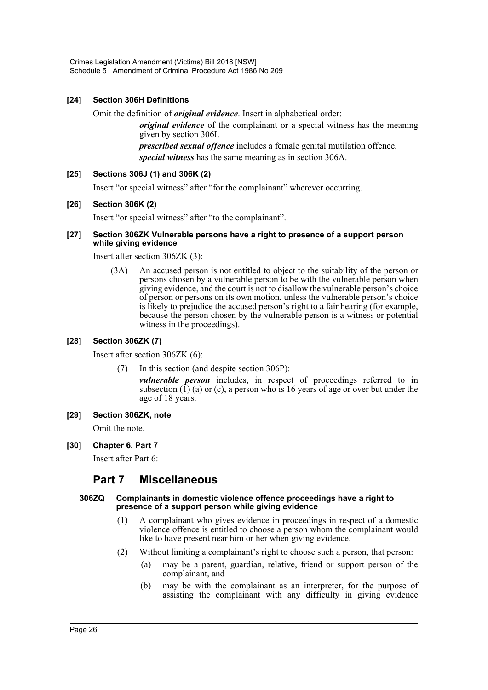# **[24] Section 306H Definitions**

Omit the definition of *original evidence*. Insert in alphabetical order:

*original evidence* of the complainant or a special witness has the meaning given by section 306I.

*prescribed sexual offence* includes a female genital mutilation offence. *special witness* has the same meaning as in section 306A.

# **[25] Sections 306J (1) and 306K (2)**

Insert "or special witness" after "for the complainant" wherever occurring.

# **[26] Section 306K (2)**

Insert "or special witness" after "to the complainant".

#### **[27] Section 306ZK Vulnerable persons have a right to presence of a support person while giving evidence**

Insert after section 306ZK (3):

(3A) An accused person is not entitled to object to the suitability of the person or persons chosen by a vulnerable person to be with the vulnerable person when giving evidence, and the court is not to disallow the vulnerable person's choice of person or persons on its own motion, unless the vulnerable person's choice is likely to prejudice the accused person's right to a fair hearing (for example, because the person chosen by the vulnerable person is a witness or potential witness in the proceedings).

# **[28] Section 306ZK (7)**

Insert after section 306ZK (6):

(7) In this section (and despite section 306P):

*vulnerable person* includes, in respect of proceedings referred to in subsection  $(1)$  (a) or (c), a person who is 16 years of age or over but under the age of 18 years.

**[29] Section 306ZK, note**

Omit the note.

**[30] Chapter 6, Part 7**

Insert after Part 6:

# **Part 7 Miscellaneous**

#### **306ZQ Complainants in domestic violence offence proceedings have a right to presence of a support person while giving evidence**

- (1) A complainant who gives evidence in proceedings in respect of a domestic violence offence is entitled to choose a person whom the complainant would like to have present near him or her when giving evidence.
- (2) Without limiting a complainant's right to choose such a person, that person:
	- (a) may be a parent, guardian, relative, friend or support person of the complainant, and
	- (b) may be with the complainant as an interpreter, for the purpose of assisting the complainant with any difficulty in giving evidence